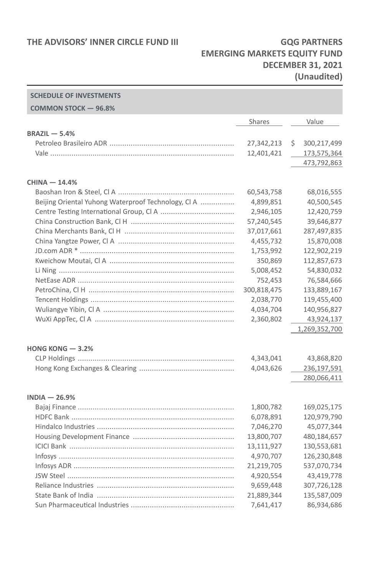#### **THE ADVISORS' INNER CIRCLE FUND III GOG PARTNERS**

**SCHEDULE OF INVESTMENTS**

### **EMERGING MARKETS EQUITY FUND DECEMBER 31, 2021 (Unaudited)**

#### **COMMON STOCK — 96.8%** Shares Value **BRAZIL — 5.4%** Petroleo Brasileiro ADR ........................................................... 27,342,213 \$ 300,217,499 Vale ....................................................................................... 12,401,421 173,575,364 473,792,863 **CHINA — 14.4%** Baoshan Iron & Steel, Cl A ....................................................... 60,543,758 68,016,555 Beijing Oriental Yuhong Waterproof Technology, Cl A ................ 4,899,851 40,500,545 Centre Testing International Group, Cl A ................................... 2,946,105 12,420,759 China Construction Bank, Cl H ................................................. 57,240,545 39,646,877 China Merchants Bank, Cl H .................................................... 37,017,661 287,497,835 China Yangtze Power, Cl A ....................................................... 4,455,732 15,870,008 JD.com ADR \* ......................................................................... 1,753,992 122,902,219 Kweichow Moutai, Cl A ........................................................... 350,869 112,857,673 Li Ning ................................................................................... 5,008,452 54,830,032 NetEase ADR .......................................................................... 752,453 76,584,666 PetroChina, Cl H ..................................................................... 300,818,475 133,889,167 Tencent Holdings .................................................................... 2,038,770 119,455,400 Wuliangye Yibin, Cl A .............................................................. 4,034,704 140,956,827 WuXi AppTec, Cl A .................................................................. 2,360,802 43,924,137 1,269,352,700 **HONG KONG — 3.2%** CLP Holdings .......................................................................... 4,343,041 43,868,820 Hong Kong Exchanges & Clearing ............................................. 4,043,626 236,197,591 280,066,411 **INDIA — 26.9%** Bajaj Finance .......................................................................... 1,800,782 169,025,175 HDFC Bank ............................................................................. 6,078,891 120,979,790 Hindalco Industries ................................................................. 7,046,270 45,077,344 Housing Development Finance ................................................ 13,800,707 480,184,657 ICICI Bank .............................................................................. 13,111,927 130,553,681 Infosys ................................................................................... 4,970,707 126,230,848 Infosys ADR ............................................................................ 21,219,705 537,070,734 JSW Steel ............................................................................... 4,920,554 43,419,778 Reliance Industries ................................................................. 9,659,448 307,726,128 State Bank of India ................................................................. 21,889,344 135,587,009 Sun Pharmaceutical Industries ................................................. 7,641,417 86,934,686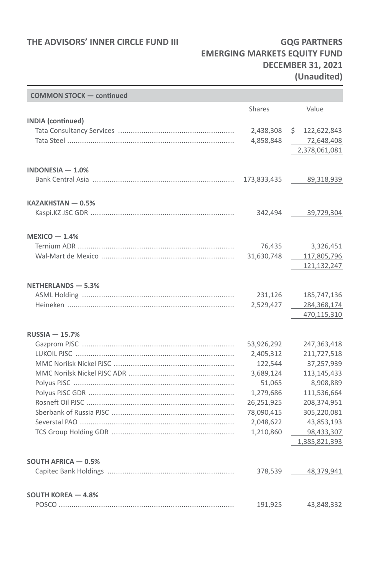### **THE ADVISORS' INNER CIRCLE FUND III GQG PARTNERS**

<u> Termin a shekara ta 1989 a Tanzania a Tanzania a Tanzania a Tanzania a Tanzania a Tanzania a Tanzania a Tanza</u>

# **EMERGING MARKETS EQUITY FUND DECEMBER 31, 2021 (Unaudited)**

| <b>COMMON STOCK - continued</b> |             |                            |
|---------------------------------|-------------|----------------------------|
|                                 | Shares      | Value                      |
| <b>INDIA</b> (continued)        |             |                            |
|                                 | 2,438,308   | \$.<br>122,622,843         |
|                                 | 4,858,848   | 72,648,408                 |
|                                 |             | 2,378,061,081              |
| INDONESIA - 1.0%                |             |                            |
|                                 | 173,833,435 | 89,318,939                 |
| KAZAKHSTAN - 0.5%               |             |                            |
|                                 | 342,494     | 39,729,304                 |
| $MEXICO - 1.4%$                 |             |                            |
|                                 | 76,435      | 3,326,451                  |
|                                 | 31,630,748  | 117,805,796                |
|                                 |             | 121,132,247                |
| NETHERLANDS - 5.3%              |             |                            |
|                                 | 231,126     | 185,747,136                |
|                                 | 2,529,427   | 284,368,174<br>470,115,310 |
| <b>RUSSIA-15.7%</b>             |             |                            |
|                                 | 53,926,292  | 247,363,418                |
|                                 | 2,405,312   | 211,727,518                |
|                                 | 122,544     | 37,257,939                 |
|                                 | 3,689,124   | 113,145,433                |
|                                 | 51,065      | 8,908,889                  |
|                                 | 1,279,686   | 111,536,664                |
|                                 | 26,251,925  | 208,374,951                |
|                                 | 78,090,415  | 305,220,081                |
|                                 | 2,048,622   | 43,853,193                 |
|                                 | 1,210,860   | 98,433,307                 |
|                                 |             | 1,385,821,393              |
| <b>SOUTH AFRICA - 0.5%</b>      |             |                            |
|                                 | 378,539     | 48,379,941                 |
| <b>SOUTH KOREA - 4.8%</b>       |             |                            |
|                                 | 191,925     | 43,848,332                 |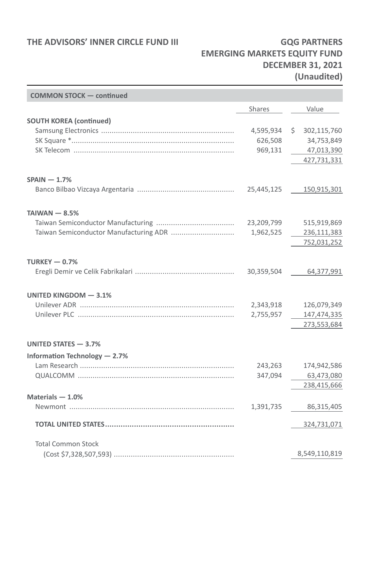### **THE ADVISORS' INNER CIRCLE FUND III GQG PARTNERS**

# **EMERGING MARKETS EQUITY FUND DECEMBER 31, 2021 (Unaudited)**

| <b>COMMON STOCK - continued</b> |                                 |                                                              |
|---------------------------------|---------------------------------|--------------------------------------------------------------|
|                                 | Shares                          | Value                                                        |
| <b>SOUTH KOREA (continued)</b>  | 4,595,934<br>626,508<br>969,131 | 302,115,760<br>\$<br>34,753,849<br>47,013,390<br>427,731,331 |
| $SPAIN - 1.7%$                  | 25,445,125                      | 150,915,301                                                  |
| $TAIWAN - 8.5%$                 |                                 |                                                              |
|                                 | 23,209,799<br>1,962,525         | 515,919,869<br>236,111,383<br>752,031,252                    |
| TURKEY $-0.7%$                  | 30,359,504                      | 64,377,991                                                   |
| UNITED KINGDOM - 3.1%           |                                 |                                                              |
|                                 | 2,343,918<br>2,755,957          | 126,079,349<br>147,474,335<br>273,553,684                    |
| UNITED STATES - 3.7%            |                                 |                                                              |
| Information Technology - 2.7%   |                                 |                                                              |
|                                 | 243,263<br>347,094              | 174,942,586<br>63,473,080<br>238,415,666                     |
| Materials $-1.0%$               |                                 |                                                              |
|                                 | 1,391,735                       | 86,315,405                                                   |
|                                 |                                 | 324,731,071                                                  |
| <b>Total Common Stock</b>       |                                 |                                                              |
|                                 |                                 | 8,549,110,819                                                |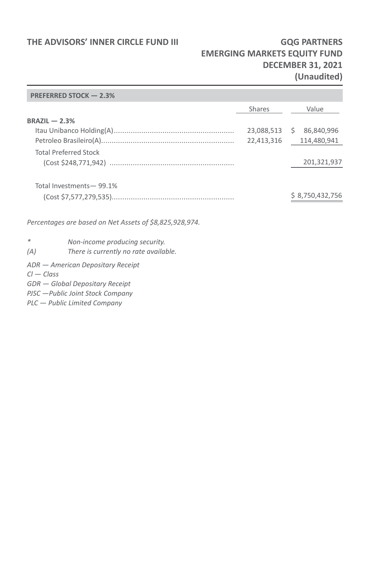#### THE ADVISORS' INNER CIRCLE FUND III **GQG PARTNERS**

## **EMERGING MARKETS EQUITY FUND DECEMBER 31, 2021 (Unaudited)**

#### **PREFERRED STOCK — 2.3%**

|                 |                                                         | <b>Shares</b> |    | Value           |
|-----------------|---------------------------------------------------------|---------------|----|-----------------|
| $BRAZIL - 2.3%$ |                                                         |               |    |                 |
|                 |                                                         | 23,088,513    | S. | 86.840.996      |
|                 |                                                         | 22,413,316    |    | 114,480,941     |
|                 | <b>Total Preferred Stock</b>                            |               |    |                 |
|                 |                                                         |               |    | 201,321,937     |
|                 |                                                         |               |    |                 |
|                 | Total Investments-99.1%                                 |               |    |                 |
|                 |                                                         |               |    | \$8,750,432,756 |
|                 |                                                         |               |    |                 |
|                 | Percentages are based on Net Assets of \$8,825,928,974. |               |    |                 |
| *               | Non-income producing security.                          |               |    |                 |
| (A)             | There is currently no rate available.                   |               |    |                 |
|                 | ADR - American Depositary Receipt                       |               |    |                 |
| $Cl - Class$    |                                                         |               |    |                 |

*GDR — Global Depositary Receipt PJSC —Public Joint Stock Company*

*PLC — Public Limited Company*